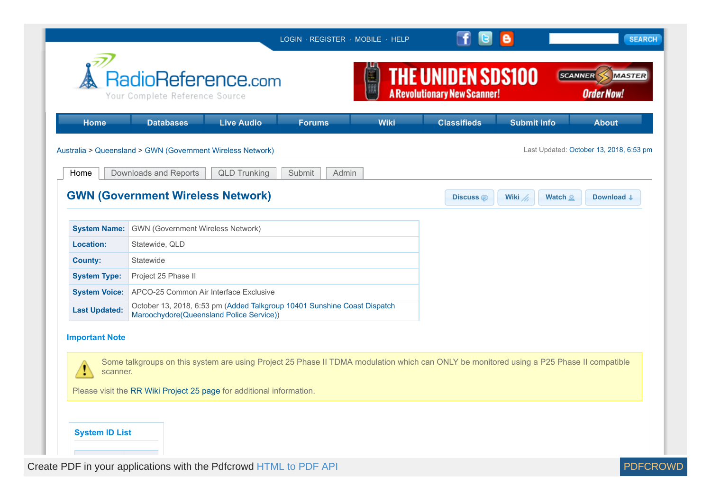|                       | Australia > Queensland > GWN (Government Wireless Network)                                                                                           |                  |                                      | Last Updated: October 13, 2018, 6:53 pm |
|-----------------------|------------------------------------------------------------------------------------------------------------------------------------------------------|------------------|--------------------------------------|-----------------------------------------|
| Home                  | Downloads and Reports<br><b>QLD Trunking</b><br>Submit<br>Admin                                                                                      |                  |                                      |                                         |
|                       | <b>GWN (Government Wireless Network)</b>                                                                                                             | Discuss $\oplus$ | Wiki $\frac{1}{2}$<br>Watch $\Omega$ | Download                                |
|                       | <b>System Name:</b> GWN (Government Wireless Network)                                                                                                |                  |                                      |                                         |
| <b>Location:</b>      | Statewide, QLD                                                                                                                                       |                  |                                      |                                         |
| <b>County:</b>        | Statewide                                                                                                                                            |                  |                                      |                                         |
| <b>System Type:</b>   | Project 25 Phase II                                                                                                                                  |                  |                                      |                                         |
| <b>System Voice:</b>  | APCO-25 Common Air Interface Exclusive                                                                                                               |                  |                                      |                                         |
| <b>Last Updated:</b>  | October 13, 2018, 6:53 pm (Added Talkgroup 10401 Sunshine Coast Dispatch<br>Maroochydore(Queensland Police Service))                                 |                  |                                      |                                         |
| <b>Important Note</b> |                                                                                                                                                      |                  |                                      |                                         |
|                       | Some talkgroups on this system are using Project 25 Phase II TDMA modulation which can ONLY be monitored using a P25 Phase II compatible<br>scanner. |                  |                                      |                                         |
|                       |                                                                                                                                                      |                  |                                      |                                         |
|                       |                                                                                                                                                      |                  |                                      |                                         |
|                       |                                                                                                                                                      |                  |                                      |                                         |
|                       |                                                                                                                                                      |                  |                                      |                                         |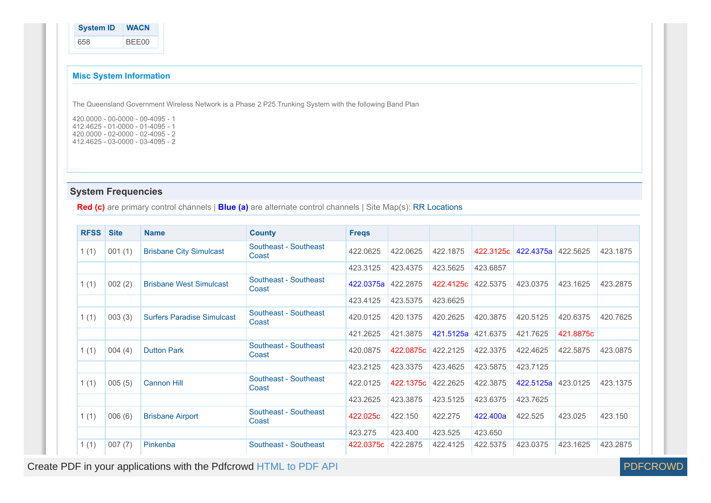| <b>System ID</b> | <b>WACN</b> |
|------------------|-------------|
| 658              | BEE00       |
|                  |             |

### **Misc System Information**

The Queensland Government Wireless Network is a Phase 2 P25 Trunking System with the following Band Plan

420.0000 - 00-0000 - 00-4095 - 1 412.4625 - 01-0000 - 01-4095 - 1 420.0000 - 02-0000 - 02-4095 - 2 412.4625 - 03-0000 - 03-4095 - 2

### <span id="page-1-0"></span>**System Frequencies**

**Red (c)** are primary control channels | **Blue (a)** are alternate control channels | Site Map(s): [RR Locations](https://www.radioreference.com/apps/db/?action=siteMap&sid=7805&type=rr)

| <b>RFSS</b> | <b>Site</b> | <b>Name</b>                       | <b>County</b>                  | <b>Freqs</b> |           |           |           |           |           |          |
|-------------|-------------|-----------------------------------|--------------------------------|--------------|-----------|-----------|-----------|-----------|-----------|----------|
| 1(1)        | 001(1)      | <b>Brisbane City Simulcast</b>    | Southeast - Southeast<br>Coast | 422.0625     | 422.0625  | 422.1875  | 422.3125c | 422.4375a | 422.5625  | 423.1875 |
|             |             |                                   |                                | 423.3125     | 423.4375  | 423.5625  | 423.6857  |           |           |          |
| 1(1)        | 002(2)      | <b>Brisbane West Simulcast</b>    | Southeast - Southeast<br>Coast | 422.0375a    | 422.2875  | 422.4125c | 422.5375  | 423.0375  | 423.1625  | 423.2875 |
|             |             |                                   |                                | 423.4125     | 423.5375  | 423.6625  |           |           |           |          |
| 1(1)        | 003(3)      | <b>Surfers Paradise Simulcast</b> | Southeast - Southeast<br>Coast | 420.0125     | 420.1375  | 420.2625  | 420.3875  | 420.5125  | 420.6375  | 420.7625 |
|             |             |                                   |                                | 421.2625     | 421.3875  | 421.5125a | 421.6375  | 421.7625  | 421.8875c |          |
| 1(1)        | 004(4)      | <b>Dutton Park</b>                | Southeast - Southeast<br>Coast | 420.0875     | 422.0875c | 422.2125  | 422.3375  | 422.4625  | 422.5875  | 423.0875 |
|             |             |                                   |                                | 423.2125     | 423.3375  | 423.4625  | 423.5875  | 423.7125  |           |          |
| 1(1)        | 005(5)      | <b>Cannon Hill</b>                | Southeast - Southeast<br>Coast | 422.0125     | 422.1375c | 422.2625  | 422.3875  | 422.5125a | 423.0125  | 423.1375 |
|             |             |                                   |                                | 423.2625     | 423.3875  | 423.5125  | 423.6375  | 423.7625  |           |          |
| 1(1)        | 006(6)      | <b>Brisbane Airport</b>           | Southeast - Southeast<br>Coast | 422.025c     | 422.150   | 422.275   | 422.400a  | 422.525   | 423.025   | 423.150  |
|             |             |                                   |                                | 423.275      | 423.400   | 423.525   | 423.650   |           |           |          |
| 1(1)        | 007(7)      | Pinkenba                          | Southeast - Southeast          | 422.0375c    | 422.2875  | 422.4125  | 422.5375  | 423.0375  | 423.1625  | 423.2875 |

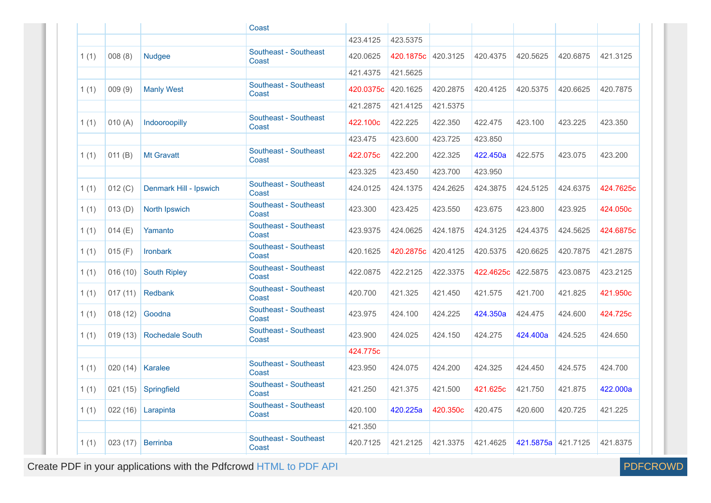|      |           |                        | Coast                          |           |           |          |           |                    |          |           |
|------|-----------|------------------------|--------------------------------|-----------|-----------|----------|-----------|--------------------|----------|-----------|
|      |           |                        |                                | 423.4125  | 423.5375  |          |           |                    |          |           |
| 1(1) | 008(8)    | <b>Nudgee</b>          | Southeast - Southeast<br>Coast | 420.0625  | 420.1875c | 420.3125 | 420.4375  | 420.5625           | 420.6875 | 421.3125  |
|      |           |                        |                                | 421.4375  | 421.5625  |          |           |                    |          |           |
| 1(1) | 009(9)    | <b>Manly West</b>      | Southeast - Southeast<br>Coast | 420.0375c | 420.1625  | 420.2875 | 420.4125  | 420.5375           | 420.6625 | 420.7875  |
|      |           |                        |                                | 421.2875  | 421.4125  | 421.5375 |           |                    |          |           |
| 1(1) | 010 $(A)$ | Indooroopilly          | Southeast - Southeast<br>Coast | 422.100c  | 422.225   | 422.350  | 422.475   | 423.100            | 423.225  | 423.350   |
|      |           |                        |                                | 423.475   | 423.600   | 423.725  | 423.850   |                    |          |           |
| 1(1) | 011(B)    | <b>Mt Gravatt</b>      | Southeast - Southeast<br>Coast | 422.075c  | 422.200   | 422.325  | 422.450a  | 422.575            | 423.075  | 423.200   |
|      |           |                        |                                | 423.325   | 423.450   | 423.700  | 423.950   |                    |          |           |
| 1(1) | 012 (C)   | Denmark Hill - Ipswich | Southeast - Southeast<br>Coast | 424.0125  | 424.1375  | 424.2625 | 424.3875  | 424.5125           | 424.6375 | 424.7625c |
| 1(1) | 013(D)    | North Ipswich          | Southeast - Southeast<br>Coast | 423.300   | 423.425   | 423.550  | 423.675   | 423.800            | 423.925  | 424.050c  |
| 1(1) | 014(E)    | Yamanto                | Southeast - Southeast<br>Coast | 423.9375  | 424.0625  | 424.1875 | 424.3125  | 424.4375           | 424.5625 | 424.6875c |
| 1(1) | 015(F)    | <b>Ironbark</b>        | Southeast - Southeast<br>Coast | 420.1625  | 420.2875c | 420.4125 | 420.5375  | 420.6625           | 420.7875 | 421.2875  |
| 1(1) | 016(10)   | <b>South Ripley</b>    | Southeast - Southeast<br>Coast | 422.0875  | 422.2125  | 422.3375 | 422.4625c | 422.5875           | 423.0875 | 423.2125  |
| 1(1) | 017(11)   | Redbank                | Southeast - Southeast<br>Coast | 420.700   | 421.325   | 421.450  | 421.575   | 421.700            | 421.825  | 421.950c  |
| 1(1) | 018(12)   | Goodna                 | Southeast - Southeast<br>Coast | 423.975   | 424.100   | 424.225  | 424.350a  | 424.475            | 424.600  | 424.725c  |
| 1(1) | 019(13)   | <b>Rochedale South</b> | Southeast - Southeast<br>Coast | 423.900   | 424.025   | 424.150  | 424.275   | 424.400a           | 424.525  | 424.650   |
|      |           |                        |                                | 424.775c  |           |          |           |                    |          |           |
| 1(1) | 020(14)   | Karalee                | Southeast - Southeast<br>Coast | 423.950   | 424.075   | 424.200  | 424.325   | 424.450            | 424.575  | 424.700   |
| 1(1) | 021(15)   | Springfield            | Southeast - Southeast<br>Coast | 421.250   | 421.375   | 421.500  | 421.625c  | 421.750            | 421.875  | 422.000a  |
| 1(1) | 022(16)   | Larapinta              | Southeast - Southeast<br>Coast | 420.100   | 420.225a  | 420.350c | 420.475   | 420.600            | 420.725  | 421.225   |
|      |           |                        |                                | 421.350   |           |          |           |                    |          |           |
| 1(1) | 023(17)   | <b>Berrinba</b>        | Southeast - Southeast<br>Coast | 420.7125  | 421.2125  | 421.3375 | 421.4625  | 421.5875a 421.7125 |          | 421.8375  |
|      |           |                        |                                |           |           |          |           |                    |          |           |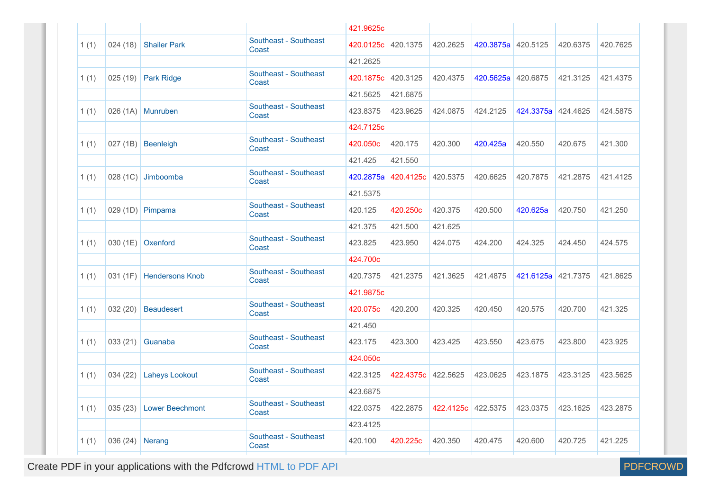|      |                 |                          |                                | 421.9625c |                    |                    |                    |           |          |          |
|------|-----------------|--------------------------|--------------------------------|-----------|--------------------|--------------------|--------------------|-----------|----------|----------|
| 1(1) |                 | 024 (18) Shailer Park    | Southeast - Southeast<br>Coast | 420.0125c | 420.1375           | 420.2625           | 420.3875a 420.5125 |           | 420.6375 | 420.7625 |
|      |                 |                          |                                | 421.2625  |                    |                    |                    |           |          |          |
| 1(1) |                 | 025 (19) Park Ridge      | Southeast - Southeast<br>Coast | 420.1875c | 420.3125           | 420.4375           | 420.5625a          | 420.6875  | 421.3125 | 421.4375 |
|      |                 |                          |                                | 421.5625  | 421.6875           |                    |                    |           |          |          |
| 1(1) |                 | 026 (1A) Munruben        | Southeast - Southeast<br>Coast | 423.8375  | 423.9625           | 424.0875           | 424.2125           | 424.3375a | 424.4625 | 424.5875 |
|      |                 |                          |                                | 424.7125c |                    |                    |                    |           |          |          |
| 1(1) |                 | 027 (1B) Beenleigh       | Southeast - Southeast<br>Coast | 420.050c  | 420.175            | 420.300            | 420.425a           | 420.550   | 420.675  | 421.300  |
|      |                 |                          |                                | 421.425   | 421.550            |                    |                    |           |          |          |
| 1(1) |                 | 028 (1C) Jimboomba       | Southeast - Southeast<br>Coast | 420.2875a | 420.4125c 420.5375 |                    | 420.6625           | 420.7875  | 421.2875 | 421.4125 |
|      |                 |                          |                                | 421.5375  |                    |                    |                    |           |          |          |
| 1(1) |                 | 029 (1D) Pimpama         | Southeast - Southeast<br>Coast | 420.125   | 420.250c           | 420.375            | 420.500            | 420.625a  | 420.750  | 421.250  |
|      |                 |                          |                                | 421.375   | 421.500            | 421.625            |                    |           |          |          |
| 1(1) |                 | 030 (1E) Oxenford        | Southeast - Southeast<br>Coast | 423.825   | 423.950            | 424.075            | 424.200            | 424.325   | 424.450  | 424.575  |
|      |                 |                          |                                | 424.700c  |                    |                    |                    |           |          |          |
| 1(1) |                 | 031 (1F) Hendersons Knob | Southeast - Southeast<br>Coast | 420.7375  | 421.2375           | 421.3625           | 421.4875           | 421.6125a | 421.7375 | 421.8625 |
|      |                 |                          |                                | 421.9875c |                    |                    |                    |           |          |          |
| 1(1) |                 | 032 (20) Beaudesert      | Southeast - Southeast<br>Coast | 420.075c  | 420.200            | 420.325            | 420.450            | 420.575   | 420.700  | 421.325  |
|      |                 |                          |                                | 421.450   |                    |                    |                    |           |          |          |
| 1(1) |                 | 033 (21) Guanaba         | Southeast - Southeast<br>Coast | 423.175   | 423.300            | 423.425            | 423.550            | 423.675   | 423.800  | 423.925  |
|      |                 |                          |                                | 424.050c  |                    |                    |                    |           |          |          |
| 1(1) | 034 (22)        | <b>Laheys Lookout</b>    | Southeast - Southeast<br>Coast | 422.3125  | 422.4375c 422.5625 |                    | 423.0625           | 423.1875  | 423.3125 | 423.5625 |
|      |                 |                          |                                | 423.6875  |                    |                    |                    |           |          |          |
| 1(1) |                 | 035 (23) Lower Beechmont | Southeast - Southeast<br>Coast | 422.0375  | 422.2875           | 422.4125c 422.5375 |                    | 423.0375  | 423.1625 | 423.2875 |
|      |                 |                          |                                | 423.4125  |                    |                    |                    |           |          |          |
| 1(1) | 036 (24) Nerang |                          | Southeast - Southeast<br>Coast | 420.100   | 420.225c           | 420.350            | 420.475            | 420.600   | 420.725  | 421.225  |
|      |                 |                          |                                |           |                    |                    |                    |           |          |          |

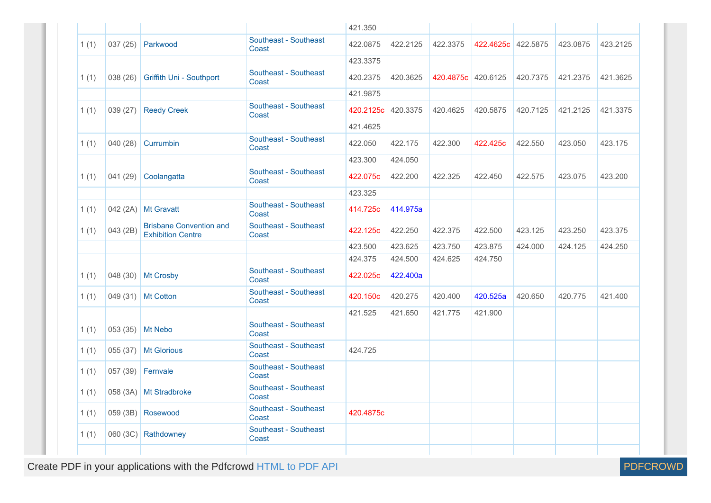|      |          |                                                            |                                | 421.350            |          |                    |                    |          |          |          |
|------|----------|------------------------------------------------------------|--------------------------------|--------------------|----------|--------------------|--------------------|----------|----------|----------|
| 1(1) |          | 037 (25) Parkwood                                          | Southeast - Southeast<br>Coast | 422.0875           | 422.2125 | 422.3375           | 422.4625c 422.5875 |          | 423.0875 | 423.2125 |
|      |          |                                                            |                                | 423.3375           |          |                    |                    |          |          |          |
| 1(1) | 038 (26) | <b>Griffith Uni - Southport</b>                            | Southeast - Southeast<br>Coast | 420.2375           | 420.3625 | 420.4875c 420.6125 |                    | 420.7375 | 421.2375 | 421.3625 |
|      |          |                                                            |                                | 421.9875           |          |                    |                    |          |          |          |
| 1(1) | 039(27)  | <b>Reedy Creek</b>                                         | Southeast - Southeast<br>Coast | 420.2125c 420.3375 |          | 420.4625           | 420.5875           | 420.7125 | 421.2125 | 421.3375 |
|      |          |                                                            |                                | 421.4625           |          |                    |                    |          |          |          |
| 1(1) | 040(28)  | Currumbin                                                  | Southeast - Southeast<br>Coast | 422.050            | 422.175  | 422.300            | 422.425c           | 422.550  | 423.050  | 423.175  |
|      |          |                                                            |                                | 423.300            | 424.050  |                    |                    |          |          |          |
| 1(1) | 041 (29) | Coolangatta                                                | Southeast - Southeast<br>Coast | 422.075c           | 422.200  | 422.325            | 422.450            | 422.575  | 423.075  | 423.200  |
|      |          |                                                            |                                | 423.325            |          |                    |                    |          |          |          |
| 1(1) |          | 042 (2A) Mt Gravatt                                        | Southeast - Southeast<br>Coast | 414.725c           | 414.975a |                    |                    |          |          |          |
| 1(1) | 043 (2B) | <b>Brisbane Convention and</b><br><b>Exhibition Centre</b> | Southeast - Southeast<br>Coast | 422.125c           | 422.250  | 422.375            | 422.500            | 423.125  | 423.250  | 423.375  |
|      |          |                                                            |                                | 423.500            | 423.625  | 423.750            | 423.875            | 424.000  | 424.125  | 424.250  |
|      |          |                                                            |                                | 424.375            | 424.500  | 424.625            | 424.750            |          |          |          |
| 1(1) | 048(30)  | Mt Crosby                                                  | Southeast - Southeast<br>Coast | 422.025c           | 422.400a |                    |                    |          |          |          |
| 1(1) |          | 049 (31) Mt Cotton                                         | Southeast - Southeast<br>Coast | 420.150c           | 420.275  | 420.400            | 420.525a           | 420.650  | 420.775  | 421.400  |
|      |          |                                                            |                                | 421.525            | 421.650  | 421.775            | 421.900            |          |          |          |
| 1(1) |          | 053 (35) Mt Nebo                                           | Southeast - Southeast<br>Coast |                    |          |                    |                    |          |          |          |
| 1(1) |          | 055 (37) Mt Glorious                                       | Southeast - Southeast<br>Coast | 424.725            |          |                    |                    |          |          |          |
| 1(1) | 057(39)  | Fernvale                                                   | Southeast - Southeast<br>Coast |                    |          |                    |                    |          |          |          |
| 1(1) |          | 058 (3A) Mt Stradbroke                                     | Southeast - Southeast<br>Coast |                    |          |                    |                    |          |          |          |
| 1(1) |          | 059 (3B) Rosewood                                          | Southeast - Southeast<br>Coast | 420.4875c          |          |                    |                    |          |          |          |
| 1(1) |          | 060 (3C) Rathdowney                                        | Southeast - Southeast<br>Coast |                    |          |                    |                    |          |          |          |

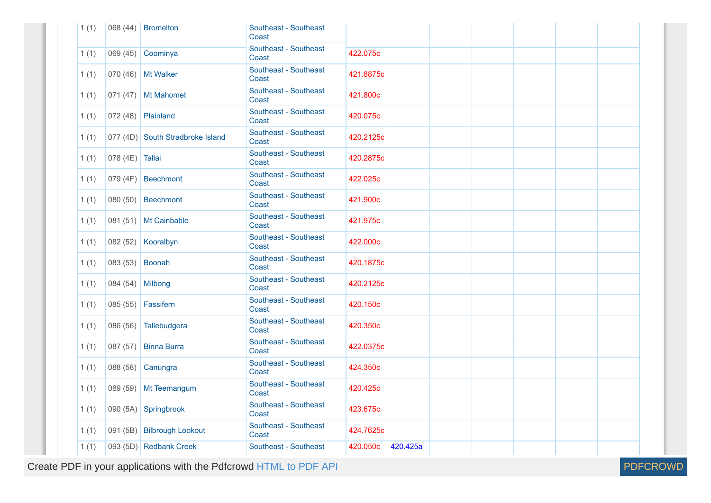| 1(1) |                 | 068 (44) Bromelton               | Southeast - Southeast<br>Coast |           |          |  |  |  |
|------|-----------------|----------------------------------|--------------------------------|-----------|----------|--|--|--|
| 1(1) |                 | 069 (45) Coominya                | Southeast - Southeast<br>Coast | 422.075c  |          |  |  |  |
| 1(1) |                 | 070 (46) Mt Walker               | Southeast - Southeast<br>Coast | 421.8875c |          |  |  |  |
| 1(1) |                 | 071 (47) Mt Mahomet              | Southeast - Southeast<br>Coast | 421.800c  |          |  |  |  |
| 1(1) | 072(48)         | Plainland                        | Southeast - Southeast<br>Coast | 420.075c  |          |  |  |  |
| 1(1) |                 | 077 (4D) South Stradbroke Island | Southeast - Southeast<br>Coast | 420.2125c |          |  |  |  |
| 1(1) | 078 (4E) Tallai |                                  | Southeast - Southeast<br>Coast | 420.2875c |          |  |  |  |
| 1(1) | 079 $(4F)$      | <b>Beechmont</b>                 | Southeast - Southeast<br>Coast | 422.025c  |          |  |  |  |
| 1(1) |                 | 080 (50) Beechmont               | Southeast - Southeast<br>Coast | 421.900c  |          |  |  |  |
| 1(1) |                 | 081 (51) Mt Cainbable            | Southeast - Southeast<br>Coast | 421.975c  |          |  |  |  |
| 1(1) | 082(52)         | Kooralbyn                        | Southeast - Southeast<br>Coast | 422.000c  |          |  |  |  |
| 1(1) | 083(53)         | Boonah                           | Southeast - Southeast<br>Coast | 420.1875c |          |  |  |  |
| 1(1) | 084(54)         | Milbong                          | Southeast - Southeast<br>Coast | 420.2125c |          |  |  |  |
| 1(1) |                 | 085 (55)   Fassifern             | Southeast - Southeast<br>Coast | 420.150c  |          |  |  |  |
| 1(1) | 086(56)         | Tallebudgera                     | Southeast - Southeast<br>Coast | 420.350c  |          |  |  |  |
| 1(1) | 087(57)         | <b>Binna Burra</b>               | Southeast - Southeast<br>Coast | 422.0375c |          |  |  |  |
| 1(1) | 088(58)         | Canungra                         | Southeast - Southeast<br>Coast | 424.350c  |          |  |  |  |
| 1(1) |                 | 089 (59) Mt Teemangum            | Southeast - Southeast<br>Coast | 420.425c  |          |  |  |  |
| 1(1) |                 | 090 (5A) Springbrook             | Southeast - Southeast<br>Coast | 423.675c  |          |  |  |  |
| 1(1) |                 | 091 (5B) Bilbrough Lookout       | Southeast - Southeast<br>Coast | 424.7625c |          |  |  |  |
| 1(1) |                 | 093 (5D) Redbank Creek           | Southeast - Southeast          | 420.050c  | 420.425a |  |  |  |

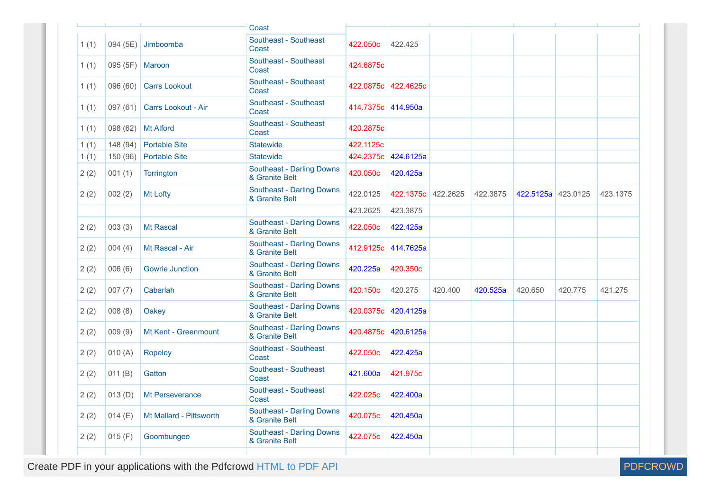|      |                 |                            | Coast                                              |                    |                     |         |          |                    |         |          |
|------|-----------------|----------------------------|----------------------------------------------------|--------------------|---------------------|---------|----------|--------------------|---------|----------|
| 1(1) |                 | 094 (5E) Jimboomba         | Southeast - Southeast<br>Coast                     | 422.050c           | 422.425             |         |          |                    |         |          |
| 1(1) | 095 (5F) Maroon |                            | Southeast - Southeast<br>Coast                     | 424.6875c          |                     |         |          |                    |         |          |
| 1(1) | 096 (60)        | <b>Carrs Lookout</b>       | Southeast - Southeast<br>Coast                     |                    | 422.0875c 422.4625c |         |          |                    |         |          |
| 1(1) | 097 $(61)$      | <b>Carrs Lookout - Air</b> | Southeast - Southeast<br>Coast                     | 414.7375c 414.950a |                     |         |          |                    |         |          |
| 1(1) |                 | 098 (62) Mt Alford         | Southeast - Southeast<br>Coast                     | 420.2875c          |                     |         |          |                    |         |          |
| 1(1) | 148 (94)        | <b>Portable Site</b>       | <b>Statewide</b>                                   | 422.1125c          |                     |         |          |                    |         |          |
| 1(1) | 150 (96)        | Portable Site              | <b>Statewide</b>                                   | 424.2375c          | 424.6125a           |         |          |                    |         |          |
| 2(2) | 001(1)          | Torrington                 | <b>Southeast - Darling Downs</b><br>& Granite Belt | 420.050c           | 420.425a            |         |          |                    |         |          |
| 2(2) | 002(2)          | Mt Lofty                   | <b>Southeast - Darling Downs</b><br>& Granite Belt | 422.0125           | 422.1375c 422.2625  |         | 422.3875 | 422.5125a 423.0125 |         | 423.1375 |
|      |                 |                            |                                                    | 423.2625           | 423.3875            |         |          |                    |         |          |
| 2(2) | 003(3)          | <b>Mt Rascal</b>           | <b>Southeast - Darling Downs</b><br>& Granite Belt | 422.050c           | 422.425a            |         |          |                    |         |          |
| 2(2) | 004(4)          | Mt Rascal - Air            | <b>Southeast - Darling Downs</b><br>& Granite Belt | 412.9125c          | 414.7625a           |         |          |                    |         |          |
| 2(2) | 006(6)          | <b>Gowrie Junction</b>     | <b>Southeast - Darling Downs</b><br>& Granite Belt | 420.225a           | 420.350c            |         |          |                    |         |          |
| 2(2) | 007(7)          | Cabarlah                   | <b>Southeast - Darling Downs</b><br>& Granite Belt | 420.150c           | 420.275             | 420.400 | 420.525a | 420.650            | 420.775 | 421.275  |
| 2(2) | 008(8)          | Oakey                      | <b>Southeast - Darling Downs</b><br>& Granite Belt | 420.0375c          | 420.4125a           |         |          |                    |         |          |
| 2(2) | 009(9)          | Mt Kent - Greenmount       | <b>Southeast - Darling Downs</b><br>& Granite Belt | 420.4875c          | 420.6125a           |         |          |                    |         |          |
| 2(2) | 010(A)          | <b>Ropeley</b>             | Southeast - Southeast<br>Coast                     | 422.050c           | 422.425a            |         |          |                    |         |          |
| 2(2) | 011(B)          | Gatton                     | Southeast - Southeast<br>Coast                     | 421.600a           | 421.975c            |         |          |                    |         |          |
| 2(2) | 013(D)          | Mt Perseverance            | Southeast - Southeast<br>Coast                     | 422.025c           | 422.400a            |         |          |                    |         |          |
| 2(2) | 014(E)          | Mt Mallard - Pittsworth    | <b>Southeast - Darling Downs</b><br>& Granite Belt | 420.075c           | 420.450a            |         |          |                    |         |          |
| 2(2) | 015(F)          | Goombungee                 | <b>Southeast - Darling Downs</b><br>& Granite Belt | 422.075c           | 422.450a            |         |          |                    |         |          |
|      |                 |                            |                                                    |                    |                     |         |          |                    |         |          |

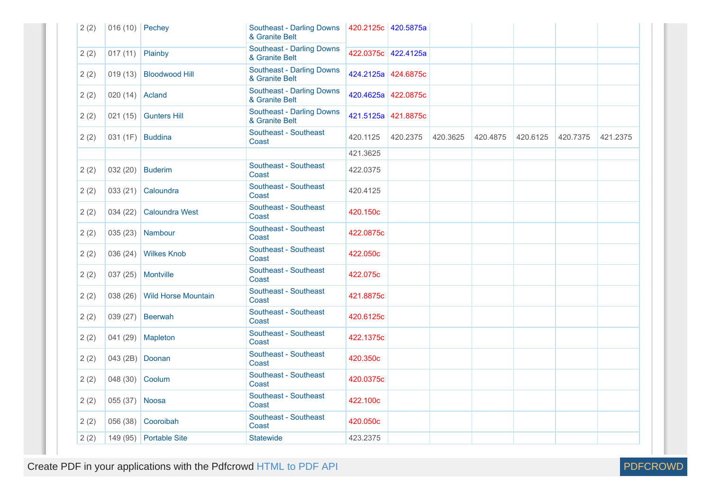| 2(2) | 016 (10) Pechey   |                              | <b>Southeast - Darling Downs</b><br>& Granite Belt | 420.2125c 420.5875a |                     |          |          |          |          |          |
|------|-------------------|------------------------------|----------------------------------------------------|---------------------|---------------------|----------|----------|----------|----------|----------|
| 2(2) | 017 (11) Plainby  |                              | <b>Southeast - Darling Downs</b><br>& Granite Belt |                     | 422.0375c 422.4125a |          |          |          |          |          |
| 2(2) | 019(13)           | <b>Bloodwood Hill</b>        | <b>Southeast - Darling Downs</b><br>& Granite Belt |                     | 424.2125a 424.6875c |          |          |          |          |          |
| 2(2) | 020 (14) Acland   |                              | <b>Southeast - Darling Downs</b><br>& Granite Belt |                     | 420.4625a 422.0875c |          |          |          |          |          |
| 2(2) |                   | 021 (15) Gunters Hill        | <b>Southeast - Darling Downs</b><br>& Granite Belt |                     | 421.5125a 421.8875c |          |          |          |          |          |
| 2(2) | 031 (1F) Buddina  |                              | Southeast - Southeast<br>Coast                     | 420.1125            | 420.2375            | 420.3625 | 420.4875 | 420.6125 | 420.7375 | 421.2375 |
|      |                   |                              |                                                    | 421.3625            |                     |          |          |          |          |          |
| 2(2) | 032(20)           | <b>Buderim</b>               | Southeast - Southeast<br>Coast                     | 422.0375            |                     |          |          |          |          |          |
| 2(2) |                   | 033 $(21)$ Caloundra         | Southeast - Southeast<br>Coast                     | 420.4125            |                     |          |          |          |          |          |
| 2(2) |                   | 034 (22) Caloundra West      | Southeast - Southeast<br>Coast                     | 420.150c            |                     |          |          |          |          |          |
| 2(2) |                   | 035 (23) Nambour             | Southeast - Southeast<br>Coast                     | 422.0875c           |                     |          |          |          |          |          |
| 2(2) |                   | 036 (24) Wilkes Knob         | Southeast - Southeast<br>Coast                     | 422.050c            |                     |          |          |          |          |          |
| 2(2) |                   | 037 (25) Montville           | Southeast - Southeast<br>Coast                     | 422.075c            |                     |          |          |          |          |          |
| 2(2) |                   | 038 (26) Wild Horse Mountain | Southeast - Southeast<br>Coast                     | 421.8875c           |                     |          |          |          |          |          |
| 2(2) | 039(27)           | <b>Beerwah</b>               | Southeast - Southeast<br>Coast                     | 420.6125c           |                     |          |          |          |          |          |
| 2(2) |                   | 041 $(29)$ Mapleton          | Southeast - Southeast<br>Coast                     | 422.1375c           |                     |          |          |          |          |          |
| 2(2) | 043 $(2B)$ Doonan |                              | Southeast - Southeast<br>Coast                     | 420.350c            |                     |          |          |          |          |          |
| 2(2) | 048 (30)          | Coolum                       | Southeast - Southeast<br>Coast                     | 420.0375c           |                     |          |          |          |          |          |
| 2(2) | 055(37)           | <b>Noosa</b>                 | Southeast - Southeast<br>Coast                     | 422.100c            |                     |          |          |          |          |          |
| 2(2) | 056 (38)          | Cooroibah                    | Southeast - Southeast<br>Coast                     | 420.050c            |                     |          |          |          |          |          |
| 2(2) | 149 (95)          | <b>Portable Site</b>         | <b>Statewide</b>                                   | 423.2375            |                     |          |          |          |          |          |

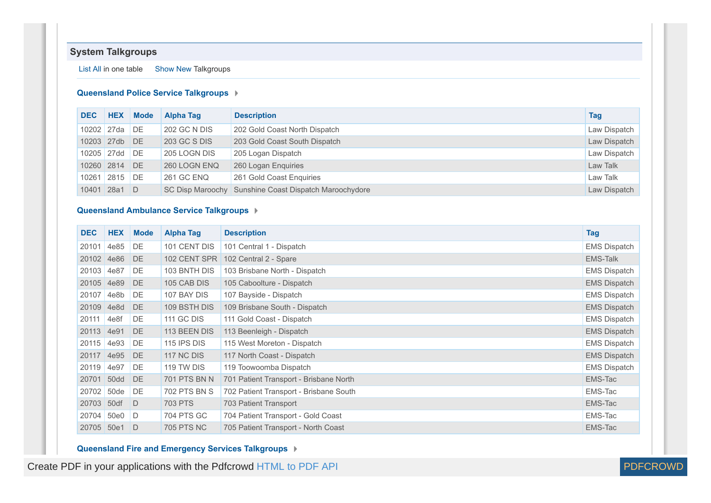# **System Talkgroups**

[List All](https://www.radioreference.com/apps/db/?sid=7805&opt=all_tg#tgs) in one table [Show New](https://www.radioreference.com/apps/db/?sid=7805&opt=new_tg#tgs) Talkgroups

#### **Queensland Police Service Talkgroups**

| <b>DEC</b> | <b>HEX</b>   | <b>Mode</b> | <b>Alpha Tag</b>    | <b>Description</b>                                    | <b>Tag</b>   |
|------------|--------------|-------------|---------------------|-------------------------------------------------------|--------------|
|            | 10202 27da   | DE.         | <b>202 GC N DIS</b> | 202 Gold Coast North Dispatch                         | Law Dispatch |
| 10203 27db |              | DE.         | <b>203 GC S DIS</b> | 203 Gold Coast South Dispatch                         | Law Dispatch |
|            | 10205 27dd   | DE.         | 205 LOGN DIS        | 205 Logan Dispatch                                    | Law Dispatch |
| 10260 2814 |              | DE          | 260 LOGN ENQ        | 260 Logan Enquiries                                   | Law Talk     |
|            | 10261 2815   | DE.         | <b>261 GC ENQ</b>   | 261 Gold Coast Enquiries                              | Law Talk     |
|            | 10401 28a1 D |             |                     | SC Disp Maroochy Sunshine Coast Dispatch Maroochydore | Law Dispatch |

### **Queensland Ambulance Service Talkgroups**

| <b>DEC</b> | <b>HEX</b> | <b>Mode</b> | <b>Alpha Tag</b>  | <b>Description</b>                     | Tag                 |
|------------|------------|-------------|-------------------|----------------------------------------|---------------------|
| 20101      | 4e85       | DE          | 101 CENT DIS      | 101 Central 1 - Dispatch               | <b>EMS Dispatch</b> |
| 20102      | 4e86       | DE          | 102 CENT SPR      | 102 Central 2 - Spare                  | <b>EMS-Talk</b>     |
| 20103      | 4e87       | DE          | 103 BNTH DIS      | 103 Brisbane North - Dispatch          | <b>EMS Dispatch</b> |
| 20105      | 4e89       | <b>DE</b>   | 105 CAB DIS       | 105 Caboolture - Dispatch              | <b>EMS Dispatch</b> |
| 20107      | 4e8b       | DE          | 107 BAY DIS       | 107 Bayside - Dispatch                 | <b>EMS Dispatch</b> |
| 20109      | 4e8d       | DE          | 109 BSTH DIS      | 109 Brisbane South - Dispatch          | <b>EMS Dispatch</b> |
| 20111      | 4e8f       | DE          | <b>111 GC DIS</b> | 111 Gold Coast - Dispatch              | <b>EMS Dispatch</b> |
| 20113      | 4e91       | DE          | 113 BEEN DIS      | 113 Beenleigh - Dispatch               | <b>EMS Dispatch</b> |
| 20115      | 4e93       | DE          | 115 IPS DIS       | 115 West Moreton - Dispatch            | <b>EMS Dispatch</b> |
| 20117      | 4e95       | DE          | 117 NC DIS        | 117 North Coast - Dispatch             | <b>EMS Dispatch</b> |
| 20119      | 4e97       | DE          | 119 TW DIS        | 119 Toowoomba Dispatch                 | <b>EMS Dispatch</b> |
| 20701      | 50dd       | DE          | 701 PTS BN N      | 701 Patient Transport - Brisbane North | EMS-Tac             |
| 20702      | 50de       | DE          | 702 PTS BN S      | 702 Patient Transport - Brisbane South | EMS-Tac             |
| 20703 50df |            | D           | 703 PTS           | 703 Patient Transport                  | EMS-Tac             |
| 20704      | 50e0       | I D         | 704 PTS GC        | 704 Patient Transport - Gold Coast     | EMS-Tac             |
| 20705 50e1 |            | l D         | <b>705 PTS NC</b> | 705 Patient Transport - North Coast    | <b>EMS-Tac</b>      |

### **Queensland Fire and Emergency Services Talkgroups**

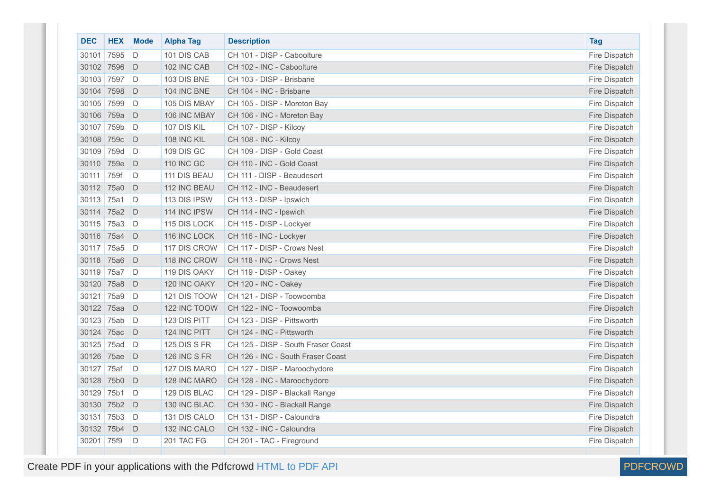| <b>DEC</b>   | <b>HEX</b>       | <b>Mode</b>    | <b>Alpha Tag</b>    | <b>Description</b>                 | <b>Tag</b>    |
|--------------|------------------|----------------|---------------------|------------------------------------|---------------|
| 30101 7595   |                  | D              | 101 DIS CAB         | CH 101 - DISP - Caboolture         | Fire Dispatch |
| 30102 7596   |                  | D              | 102 INC CAB         | CH 102 - INC - Caboolture          | Fire Dispatch |
| 30103 7597   |                  | D              | 103 DIS BNE         | CH 103 - DISP - Brisbane           | Fire Dispatch |
| 30104 7598   |                  | D              | <b>104 INC BNE</b>  | CH 104 - INC - Brisbane            | Fire Dispatch |
| 30105 7599   |                  | D              | 105 DIS MBAY        | CH 105 - DISP - Moreton Bay        | Fire Dispatch |
| 30106        | 759a             | D              | 106 INC MBAY        | CH 106 - INC - Moreton Bay         | Fire Dispatch |
| 30107 759b   |                  | D              | 107 DIS KIL         | CH 107 - DISP - Kilcoy             | Fire Dispatch |
| 30108 759c   |                  | I D            | <b>108 INC KIL</b>  | CH 108 - INC - Kilcoy              | Fire Dispatch |
| 30109 759d   |                  | D              | <b>109 DIS GC</b>   | CH 109 - DISP - Gold Coast         | Fire Dispatch |
| 30110        | 759e             | D              | <b>110 INC GC</b>   | CH 110 - INC - Gold Coast          | Fire Dispatch |
| 30111        | 759f             | D              | 111 DIS BEAU        | CH 111 - DISP - Beaudesert         | Fire Dispatch |
| 30112 75a0   |                  | D              | 112 INC BEAU        | CH 112 - INC - Beaudesert          | Fire Dispatch |
| 30113 75a1   |                  | D              | 113 DIS IPSW        | CH 113 - DISP - Ipswich            | Fire Dispatch |
| 30114 75a2 D |                  |                | 114 INC IPSW        | CH 114 - INC - Ipswich             | Fire Dispatch |
| 30115 75a3   |                  | D              | 115 DIS LOCK        | CH 115 - DISP - Lockyer            | Fire Dispatch |
| 30116 75a4   |                  | D              | 116 INC LOCK        | CH 116 - INC - Lockyer             | Fire Dispatch |
| 30117        | 75a <sub>5</sub> | D              | 117 DIS CROW        | CH 117 - DISP - Crows Nest         | Fire Dispatch |
| 30118        | <b>75a6</b>      | $\overline{D}$ | 118 INC CROW        | CH 118 - INC - Crows Nest          | Fire Dispatch |
| 30119        | 75a7             | D              | 119 DIS OAKY        | CH 119 - DISP - Oakey              | Fire Dispatch |
| 30120 75a8   |                  | D              | 120 INC OAKY        | CH 120 - INC - Oakey               | Fire Dispatch |
| 30121 75a9   |                  | D              | 121 DIS TOOW        | CH 121 - DISP - Toowoomba          | Fire Dispatch |
| 30122 75aa   |                  | I D            | 122 INC TOOW        | CH 122 - INC - Toowoomba           | Fire Dispatch |
| 30123        | 75ab             | D              | 123 DIS PITT        | CH 123 - DISP - Pittsworth         | Fire Dispatch |
| 30124 75ac   |                  | $\overline{D}$ | 124 INC PITT        | CH 124 - INC - Pittsworth          | Fire Dispatch |
| 30125        | 75ad             | D              | <b>125 DIS S FR</b> | CH 125 - DISP - South Fraser Coast | Fire Dispatch |
| 30126        | 75ae             | D              | <b>126 INC S FR</b> | CH 126 - INC - South Fraser Coast  | Fire Dispatch |
| 30127 75af   |                  | D              | 127 DIS MARO        | CH 127 - DISP - Maroochydore       | Fire Dispatch |
| 30128 75b0   |                  | D              | 128 INC MARO        | CH 128 - INC - Maroochydore        | Fire Dispatch |
| 30129        | 75b1             | D              | 129 DIS BLAC        | CH 129 - DISP - Blackall Range     | Fire Dispatch |
| 30130 75b2   |                  | I D            | 130 INC BLAC        | CH 130 - INC - Blackall Range      | Fire Dispatch |
| 30131 75b3   |                  | D              | 131 DIS CALO        | CH 131 - DISP - Caloundra          | Fire Dispatch |
| 30132 75b4   |                  | D              | 132 INC CALO        | CH 132 - INC - Caloundra           | Fire Dispatch |
|              | 30201 75f9       | D              | 201 TAC FG          | CH 201 - TAC - Fireground          | Fire Dispatch |

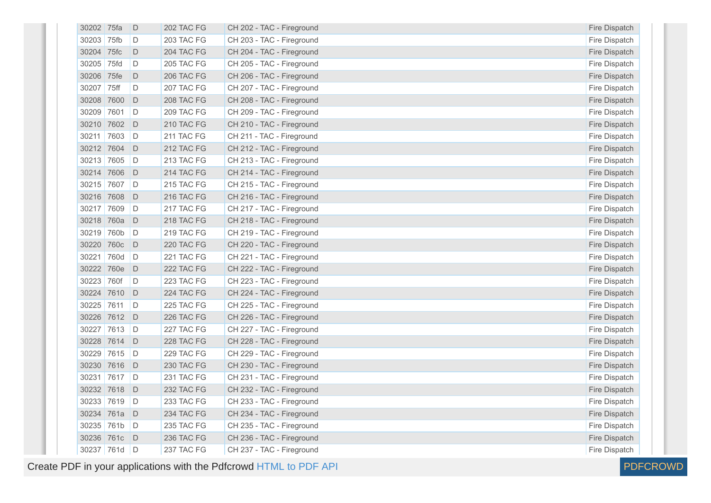| 30202 75fa |              | D              | 202 TAC FG        | CH 202 - TAC - Fireground | Fire Dispatch |
|------------|--------------|----------------|-------------------|---------------------------|---------------|
| 30203      | 75fb         | $\mathsf D$    | 203 TAC FG        | CH 203 - TAC - Fireground | Fire Dispatch |
| 30204      | 75fc         | D              | 204 TAC FG        | CH 204 - TAC - Fireground | Fire Dispatch |
| 30205      | 75fd         | D              | <b>205 TAC FG</b> | CH 205 - TAC - Fireground | Fire Dispatch |
| 30206      | 75fe         | D              | <b>206 TAC FG</b> | CH 206 - TAC - Fireground | Fire Dispatch |
| 30207      | 75ff         | D              | 207 TAC FG        | CH 207 - TAC - Fireground | Fire Dispatch |
| 30208      | 7600         | D              | 208 TAC FG        | CH 208 - TAC - Fireground | Fire Dispatch |
| 30209 7601 |              | D              | 209 TAC FG        | CH 209 - TAC - Fireground | Fire Dispatch |
| 30210 7602 |              | $\overline{D}$ | 210 TAC FG        | CH 210 - TAC - Fireground | Fire Dispatch |
| 30211      | 7603         | D              | 211 TAC FG        | CH 211 - TAC - Fireground | Fire Dispatch |
| 30212 7604 |              | D              | 212 TAC FG        | CH 212 - TAC - Fireground | Fire Dispatch |
| 30213 7605 |              | D              | 213 TAC FG        | CH 213 - TAC - Fireground | Fire Dispatch |
| 30214 7606 |              | D              | 214 TAC FG        | CH 214 - TAC - Fireground | Fire Dispatch |
| 30215      | 7607         | D              | 215 TAC FG        | CH 215 - TAC - Fireground | Fire Dispatch |
| 30216      | 7608         | D              | 216 TAC FG        | CH 216 - TAC - Fireground | Fire Dispatch |
| 30217      | 7609         | D              | 217 TAC FG        | CH 217 - TAC - Fireground | Fire Dispatch |
| 30218      | <b>760a</b>  | D              | 218 TAC FG        | CH 218 - TAC - Fireground | Fire Dispatch |
| 30219      | 760b         | D              | 219 TAC FG        | CH 219 - TAC - Fireground | Fire Dispatch |
| 30220      | 760c         | $\Box$         | 220 TAC FG        | CH 220 - TAC - Fireground | Fire Dispatch |
| 30221 760d |              | D              | 221 TAC FG        | CH 221 - TAC - Fireground | Fire Dispatch |
| 30222 760e |              | D              | 222 TAC FG        | CH 222 - TAC - Fireground | Fire Dispatch |
| 30223 760f |              | D              | 223 TAC FG        | CH 223 - TAC - Fireground | Fire Dispatch |
| 30224 7610 |              | $\Box$         | 224 TAC FG        | CH 224 - TAC - Fireground | Fire Dispatch |
| 30225      | 7611         | D              | 225 TAC FG        | CH 225 - TAC - Fireground | Fire Dispatch |
| 30226      | 7612         | $\Box$         | 226 TAC FG        | CH 226 - TAC - Fireground | Fire Dispatch |
| 30227      | 7613         | D              | 227 TAC FG        | CH 227 - TAC - Fireground | Fire Dispatch |
| 30228      | 7614         | D              | 228 TAC FG        | CH 228 - TAC - Fireground | Fire Dispatch |
| 30229      | 7615         | D              | 229 TAC FG        | CH 229 - TAC - Fireground | Fire Dispatch |
| 30230      | 7616         | I D            | 230 TAC FG        | CH 230 - TAC - Fireground | Fire Dispatch |
| 30231      | 7617         | D              | 231 TAC FG        | CH 231 - TAC - Fireground | Fire Dispatch |
| 30232 7618 |              | D              | 232 TAC FG        | CH 232 - TAC - Fireground | Fire Dispatch |
| 30233 7619 |              | D              | 233 TAC FG        | CH 233 - TAC - Fireground | Fire Dispatch |
| 30234 761a |              | $\overline{D}$ | 234 TAC FG        | CH 234 - TAC - Fireground | Fire Dispatch |
| 30235 761b |              | D              | 235 TAC FG        | CH 235 - TAC - Fireground | Fire Dispatch |
| 30236 761c |              | $\overline{D}$ | 236 TAC FG        | CH 236 - TAC - Fireground | Fire Dispatch |
|            | 30237 761d D |                | 237 TAC FG        | CH 237 - TAC - Fireground | Fire Dispatch |

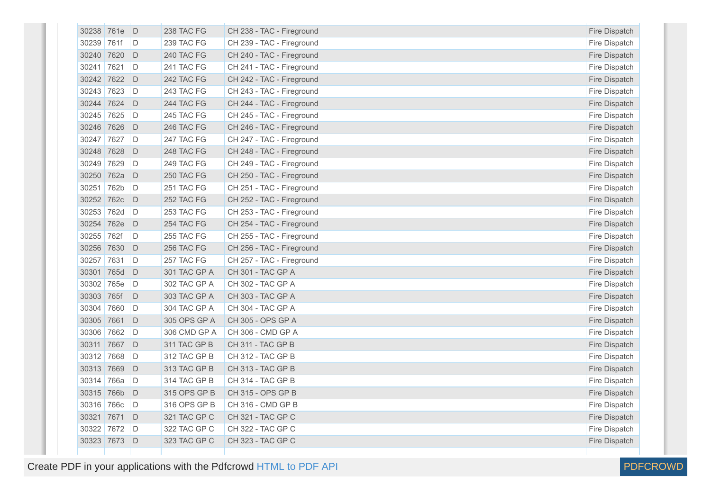| 30238 761e |              | $\Box$       | 238 TAC FG   | CH 238 - TAC - Fireground | Fire Dispatch |
|------------|--------------|--------------|--------------|---------------------------|---------------|
| 30239 761f |              | D            | 239 TAC FG   | CH 239 - TAC - Fireground | Fire Dispatch |
| 30240 7620 |              | D            | 240 TAC FG   | CH 240 - TAC - Fireground | Fire Dispatch |
| 30241 7621 |              | D            | 241 TAC FG   | CH 241 - TAC - Fireground | Fire Dispatch |
| 30242 7622 |              | $\vert D$    | 242 TAC FG   | CH 242 - TAC - Fireground | Fire Dispatch |
| 30243 7623 |              | D            | 243 TAC FG   | CH 243 - TAC - Fireground | Fire Dispatch |
| 30244 7624 |              | D            | 244 TAC FG   | CH 244 - TAC - Fireground | Fire Dispatch |
| 30245 7625 |              | $\mathsf D$  | 245 TAC FG   | CH 245 - TAC - Fireground | Fire Dispatch |
| 30246      | 7626         | D            | 246 TAC FG   | CH 246 - TAC - Fireground | Fire Dispatch |
| 30247 7627 |              | D            | 247 TAC FG   | CH 247 - TAC - Fireground | Fire Dispatch |
| 30248      | 7628         | $\Box$       | 248 TAC FG   | CH 248 - TAC - Fireground | Fire Dispatch |
| 30249 7629 |              | D            | 249 TAC FG   | CH 249 - TAC - Fireground | Fire Dispatch |
| 30250 762a |              | D            | 250 TAC FG   | CH 250 - TAC - Fireground | Fire Dispatch |
| 30251 762b |              | D            | 251 TAC FG   | CH 251 - TAC - Fireground | Fire Dispatch |
| 30252 762c |              | D            | 252 TAC FG   | CH 252 - TAC - Fireground | Fire Dispatch |
| 30253      | 762d         | D            | 253 TAC FG   | CH 253 - TAC - Fireground | Fire Dispatch |
| 30254 762e |              | $\mathsf D$  | 254 TAC FG   | CH 254 - TAC - Fireground | Fire Dispatch |
| 30255 762f |              | $\mathsf D$  | 255 TAC FG   | CH 255 - TAC - Fireground | Fire Dispatch |
| 30256 7630 |              | $\mathsf{D}$ | 256 TAC FG   | CH 256 - TAC - Fireground | Fire Dispatch |
| 30257 7631 |              | D            | 257 TAC FG   | CH 257 - TAC - Fireground | Fire Dispatch |
| 30301      | 765d         | D            | 301 TAC GP A | CH 301 - TAC GP A         | Fire Dispatch |
| 30302 765e |              | D            | 302 TAC GP A | CH 302 - TAC GP A         | Fire Dispatch |
| 30303 765f |              | $\mathsf{D}$ | 303 TAC GP A | CH 303 - TAC GP A         | Fire Dispatch |
| 30304 7660 |              | D            | 304 TAC GP A | CH 304 - TAC GP A         | Fire Dispatch |
|            | 30305 7661 D |              | 305 OPS GP A | CH 305 - OPS GP A         | Fire Dispatch |
| 30306 7662 |              | D            | 306 CMD GP A | CH 306 - CMD GP A         | Fire Dispatch |
|            | 30311 7667 D |              | 311 TAC GP B | CH 311 - TAC GP B         | Fire Dispatch |
| 30312 7668 |              | $\mathsf D$  | 312 TAC GP B | CH 312 - TAC GP B         | Fire Dispatch |
| 30313 7669 |              | $\Box$       | 313 TAC GP B | CH 313 - TAC GP B         | Fire Dispatch |
| 30314 766a |              | D            | 314 TAC GP B | CH 314 - TAC GP B         | Fire Dispatch |
| 30315 766b |              | $\mathsf{D}$ | 315 OPS GP B | CH 315 - OPS GP B         | Fire Dispatch |
| 30316 766c |              | $\mathsf D$  | 316 OPS GP B | CH 316 - CMD GP B         | Fire Dispatch |
| 30321      | 7671         | $\Box$       | 321 TAC GP C | CH 321 - TAC GP C         | Fire Dispatch |
| 30322 7672 |              | D            | 322 TAC GP C | CH 322 - TAC GP C         | Fire Dispatch |
| 30323 7673 |              | $\Box$       | 323 TAC GP C | CH 323 - TAC GP C         | Fire Dispatch |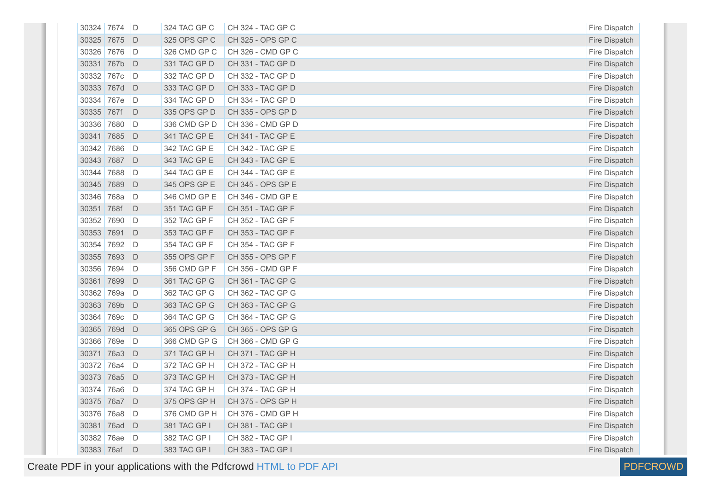| 30324 7674 |      | D              | 324 TAC GP C | <b>CH 324 - TAC GP C</b> | Fire Dispatch |
|------------|------|----------------|--------------|--------------------------|---------------|
| 30325      | 7675 | $\overline{D}$ | 325 OPS GP C | CH 325 - OPS GP C        | Fire Dispatch |
| 30326 7676 |      | $\overline{D}$ | 326 CMD GP C | CH 326 - CMD GP C        | Fire Dispatch |
| 30331      | 767b | $\vert D$      | 331 TAC GP D | CH 331 - TAC GP D        | Fire Dispatch |
| 30332      | 767c | $\mathsf D$    | 332 TAC GP D | CH 332 - TAC GP D        | Fire Dispatch |
| 30333 767d |      | $\overline{D}$ | 333 TAC GP D | CH 333 - TAC GP D        | Fire Dispatch |
| 30334 767e |      | $\overline{D}$ | 334 TAC GP D | CH 334 - TAC GP D        | Fire Dispatch |
| 30335 767f |      | $\overline{D}$ | 335 OPS GP D | CH 335 - OPS GP D        | Fire Dispatch |
| 30336 7680 |      | D              | 336 CMD GP D | CH 336 - CMD GP D        | Fire Dispatch |
| 30341 7685 |      | $\overline{D}$ | 341 TAC GP E | <b>CH 341 - TAC GP E</b> | Fire Dispatch |
| 30342      | 7686 | D              | 342 TAC GP E | CH 342 - TAC GP E        | Fire Dispatch |
| 30343 7687 |      | D              | 343 TAC GP E | <b>CH 343 - TAC GP E</b> | Fire Dispatch |
| 30344      | 7688 | D              | 344 TAC GP E | <b>CH 344 - TAC GP E</b> | Fire Dispatch |
| 30345 7689 |      | D              | 345 OPS GP E | CH 345 - OPS GP E        | Fire Dispatch |
| 30346      | 768a | D              | 346 CMD GP E | CH 346 - CMD GP E        | Fire Dispatch |
| 30351      | 768f | D              | 351 TAC GP F | CH 351 - TAC GP F        | Fire Dispatch |
| 30352      | 7690 | D              | 352 TAC GP F | CH 352 - TAC GP F        | Fire Dispatch |
| 30353 7691 |      | $\mathsf{D}$   | 353 TAC GP F | CH 353 - TAC GP F        | Fire Dispatch |
| 30354      | 7692 | $\mathsf D$    | 354 TAC GP F | CH 354 - TAC GP F        | Fire Dispatch |
| 30355 7693 |      | $\Box$         | 355 OPS GP F | CH 355 - OPS GP F        | Fire Dispatch |
| 30356 7694 |      | D              | 356 CMD GP F | CH 356 - CMD GP F        | Fire Dispatch |
| 30361 7699 |      | D              | 361 TAC GP G | CH 361 - TAC GP G        | Fire Dispatch |
| 30362      | 769a | D              | 362 TAC GP G | CH 362 - TAC GP G        | Fire Dispatch |
| 30363 769b |      | D              | 363 TAC GP G | CH 363 - TAC GP G        | Fire Dispatch |
| 30364      | 769c | D              | 364 TAC GP G | CH 364 - TAC GP G        | Fire Dispatch |
| 30365      | 769d | D              | 365 OPS GP G | CH 365 - OPS GP G        | Fire Dispatch |
| 30366      | 769e | D              | 366 CMD GP G | CH 366 - CMD GP G        | Fire Dispatch |
| 30371      | 76a3 | $\overline{D}$ | 371 TAC GP H | CH 371 - TAC GP H        | Fire Dispatch |
| 30372 76a4 |      | D              | 372 TAC GP H | CH 372 - TAC GP H        | Fire Dispatch |
| 30373      | 76a5 | $\overline{D}$ | 373 TAC GP H | CH 373 - TAC GP H        | Fire Dispatch |
| 30374      | 76a6 | D              | 374 TAC GP H | CH 374 - TAC GP H        | Fire Dispatch |
| 30375 76a7 |      | $\vert D$      | 375 OPS GP H | CH 375 - OPS GP H        | Fire Dispatch |
| 30376 76a8 |      | D              | 376 CMD GP H | CH 376 - CMD GP H        | Fire Dispatch |
| 30381 76ad |      | $\overline{D}$ | 381 TAC GP I | CH 381 - TAC GP I        | Fire Dispatch |
| 30382 76ae |      | D              | 382 TAC GP I | CH 382 - TAC GP I        | Fire Dispatch |
| 30383 76af |      | $\overline{D}$ | 383 TAC GP I | <b>CH 383 - TAC GP I</b> | Fire Dispatch |

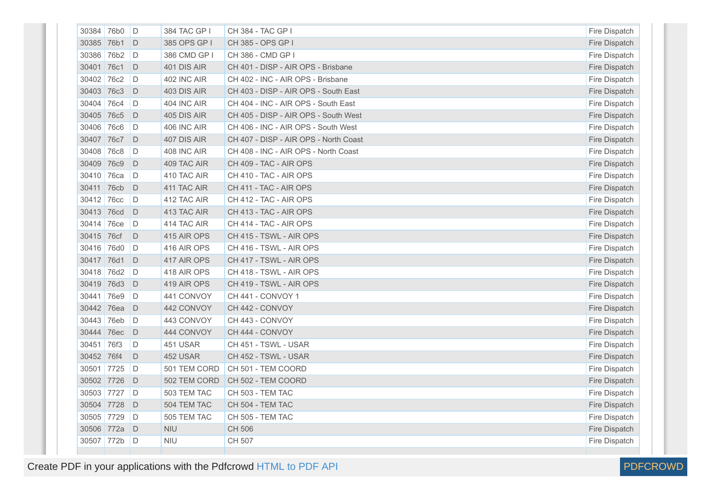| 30384      | 76 <sub>b</sub> 0 | D              | 384 TAC GP I       | CH 384 - TAC GP I                     | Fire Dispatch |
|------------|-------------------|----------------|--------------------|---------------------------------------|---------------|
| 30385 76b1 |                   | I D            | 385 OPS GP I       | CH 385 - OPS GP I                     | Fire Dispatch |
| 30386 76b2 |                   | D              | 386 CMD GP I       | CH 386 - CMD GP I                     | Fire Dispatch |
| 30401 76c1 |                   | $\overline{D}$ | 401 DIS AIR        | CH 401 - DISP - AIR OPS - Brisbane    | Fire Dispatch |
| 30402 76c2 |                   | D              | <b>402 INC AIR</b> | CH 402 - INC - AIR OPS - Brisbane     | Fire Dispatch |
| 30403 76c3 |                   | D              | 403 DIS AIR        | CH 403 - DISP - AIR OPS - South East  | Fire Dispatch |
| 30404      | <b>76c4</b>       | D              | <b>404 INC AIR</b> | CH 404 - INC - AIR OPS - South East   | Fire Dispatch |
| 30405      | <b>76c5</b>       | D              | 405 DIS AIR        | CH 405 - DISP - AIR OPS - South West  | Fire Dispatch |
| 30406 76c6 |                   | D              | <b>406 INC AIR</b> | CH 406 - INC - AIR OPS - South West   | Fire Dispatch |
| 30407 76c7 |                   | D              | 407 DIS AIR        | CH 407 - DISP - AIR OPS - North Coast | Fire Dispatch |
| 30408 76c8 |                   | D              | 408 INC AIR        | CH 408 - INC - AIR OPS - North Coast  | Fire Dispatch |
| 30409 76c9 |                   | D              | 409 TAC AIR        | CH 409 - TAC - AIR OPS                | Fire Dispatch |
| 30410 76ca |                   | D              | 410 TAC AIR        | CH 410 - TAC - AIR OPS                | Fire Dispatch |
| 30411 76cb |                   | D              | 411 TAC AIR        | CH 411 - TAC - AIR OPS                | Fire Dispatch |
| 30412 76cc |                   | D              | 412 TAC AIR        | CH 412 - TAC - AIR OPS                | Fire Dispatch |
| 30413 76cd |                   | D              | 413 TAC AIR        | CH 413 - TAC - AIR OPS                | Fire Dispatch |
| 30414      | 76ce              | D              | 414 TAC AIR        | CH 414 - TAC - AIR OPS                | Fire Dispatch |
| 30415 76cf |                   | D              | 415 AIR OPS        | CH 415 - TSWL - AIR OPS               | Fire Dispatch |
| 30416 76d0 |                   | D              | 416 AIR OPS        | CH 416 - TSWL - AIR OPS               | Fire Dispatch |
| 30417 76d1 |                   | $\overline{D}$ | 417 AIR OPS        | CH 417 - TSWL - AIR OPS               | Fire Dispatch |
| 30418 76d2 |                   | $\overline{D}$ | 418 AIR OPS        | CH 418 - TSWL - AIR OPS               | Fire Dispatch |
| 30419 76d3 |                   | $\mathsf{D}$   | 419 AIR OPS        | CH 419 - TSWL - AIR OPS               | Fire Dispatch |
| 30441      | <b>76e9</b>       | D              | 441 CONVOY         | CH 441 - CONVOY 1                     | Fire Dispatch |
| 30442 76ea |                   | I D            | 442 CONVOY         | CH 442 - CONVOY                       | Fire Dispatch |
| 30443 76eb |                   | D              | 443 CONVOY         | CH 443 - CONVOY                       | Fire Dispatch |
| 30444      | 76ec              | D              | 444 CONVOY         | CH 444 - CONVOY                       | Fire Dispatch |
| 30451      | 76f3              | D              | 451 USAR           | CH 451 - TSWL - USAR                  | Fire Dispatch |
| 30452 76f4 |                   | D              | 452 USAR           | CH 452 - TSWL - USAR                  | Fire Dispatch |
| 30501 7725 |                   | D              | 501 TEM CORD       | CH 501 - TEM COORD                    | Fire Dispatch |
| 30502 7726 |                   | $\overline{D}$ | 502 TEM CORD       | CH 502 - TEM COORD                    | Fire Dispatch |
| 30503      | 7727              | D              | 503 TEM TAC        | CH 503 - TEM TAC                      | Fire Dispatch |
| 30504      | 7728              | D              | 504 TEM TAC        | CH 504 - TEM TAC                      | Fire Dispatch |
| 30505 7729 |                   | D              | 505 TEM TAC        | CH 505 - TEM TAC                      | Fire Dispatch |
| 30506      | 772a              | $\Box$         | <b>NIU</b>         | <b>CH 506</b>                         | Fire Dispatch |
| 30507 772b |                   | D              | <b>NIU</b>         | CH 507                                | Fire Dispatch |
|            |                   |                |                    |                                       |               |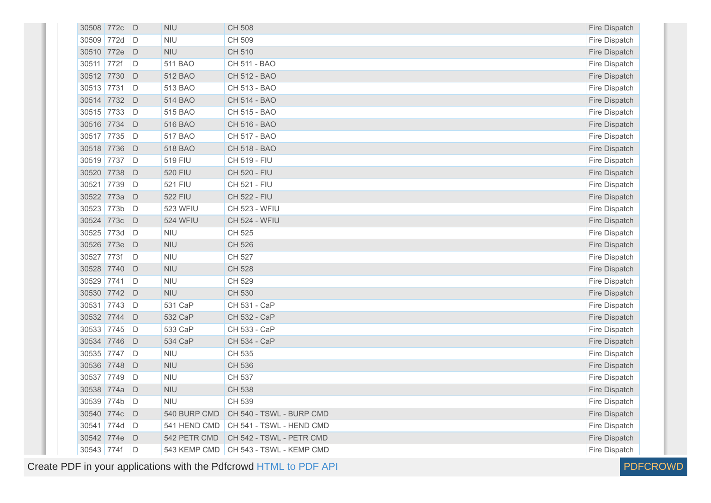| 30508      | 772c         | D              | <b>NIU</b>      | CH 508                                | Fire Dispatch |
|------------|--------------|----------------|-----------------|---------------------------------------|---------------|
| 30509 772d |              | $\overline{D}$ | <b>NIU</b>      | CH 509                                | Fire Dispatch |
| 30510 772e |              | $\overline{D}$ | <b>NIU</b>      | CH 510                                | Fire Dispatch |
| 30511      | 772f         | D              | 511 BAO         | <b>CH 511 - BAO</b>                   | Fire Dispatch |
| 30512 7730 |              | D              | 512 BAO         | CH 512 - BAO                          | Fire Dispatch |
| 30513 7731 |              | D              | 513 BAO         | CH 513 - BAO                          | Fire Dispatch |
|            | 30514 7732 D |                | <b>514 BAO</b>  | <b>CH 514 - BAO</b>                   | Fire Dispatch |
| 30515 7733 |              | $\overline{D}$ | 515 BAO         | CH 515 - BAO                          | Fire Dispatch |
| 30516 7734 |              | $\mathsf{D}$   | 516 BAO         | CH 516 - BAO                          | Fire Dispatch |
| 30517 7735 |              | $\overline{D}$ | 517 BAO         | CH 517 - BAO                          | Fire Dispatch |
| 30518 7736 |              | $\overline{D}$ | 518 BAO         | <b>CH 518 - BAO</b>                   | Fire Dispatch |
| 30519 7737 |              | $\mathsf D$    | 519 FIU         | CH 519 - FIU                          | Fire Dispatch |
| 30520      | 7738         | $\Box$         | 520 FIU         | <b>CH 520 - FIU</b>                   | Fire Dispatch |
| 30521      | 7739         | $\mathsf D$    | 521 FIU         | CH 521 - FIU                          | Fire Dispatch |
| 30522 773a |              | $\overline{D}$ | 522 FIU         | <b>CH 522 - FIU</b>                   | Fire Dispatch |
| 30523      | 773b         | D              | 523 WFIU        | <b>CH 523 - WFIU</b>                  | Fire Dispatch |
| 30524      | 773c         | $\overline{D}$ | <b>524 WFIU</b> | <b>CH 524 - WFIU</b>                  | Fire Dispatch |
| 30525      | 773d         | D              | <b>NIU</b>      | CH 525                                | Fire Dispatch |
| 30526 773e |              | $\overline{D}$ | <b>NIU</b>      | CH 526                                | Fire Dispatch |
| 30527 773f |              | D              | <b>NIU</b>      | CH 527                                | Fire Dispatch |
| 30528 7740 |              | $\overline{D}$ | <b>NIU</b>      | CH 528                                | Fire Dispatch |
| 30529 7741 |              | $\overline{D}$ | <b>NIU</b>      | CH 529                                | Fire Dispatch |
| 30530 7742 |              | $\Box$         | <b>NIU</b>      | CH 530                                | Fire Dispatch |
| 30531      | 7743         | D              | 531 CaP         | CH 531 - CaP                          | Fire Dispatch |
| 30532 7744 |              | D              | 532 CaP         | CH 532 - CaP                          | Fire Dispatch |
| 30533      | 7745         | D              | 533 CaP         | CH 533 - CaP                          | Fire Dispatch |
| 30534      | 7746         | $\overline{D}$ | 534 CaP         | CH 534 - CaP                          | Fire Dispatch |
| 30535 7747 |              | $\overline{D}$ | <b>NIU</b>      | CH 535                                | Fire Dispatch |
| 30536      | 7748         | $\overline{D}$ | <b>NIU</b>      | CH 536                                | Fire Dispatch |
| 30537      | 7749         | $\overline{D}$ | <b>NIU</b>      | CH 537                                | Fire Dispatch |
| 30538      | 774a         | $\overline{D}$ | <b>NIU</b>      | CH 538                                | Fire Dispatch |
| 30539 774b |              | D              | <b>NIU</b>      | CH 539                                | Fire Dispatch |
| 30540 774c |              | $\overline{D}$ | 540 BURP CMD    | CH 540 - TSWL - BURP CMD              | Fire Dispatch |
| 30541 774d |              | $\overline{D}$ | 541 HEND CMD    | CH 541 - TSWL - HEND CMD              | Fire Dispatch |
| 30542 774e |              | $\Box$         | 542 PETR CMD    | CH 542 - TSWL - PETR CMD              | Fire Dispatch |
| 30543 774f |              | I D            |                 | 543 KEMP CMD CH 543 - TSWL - KEMP CMD | Fire Dispatch |

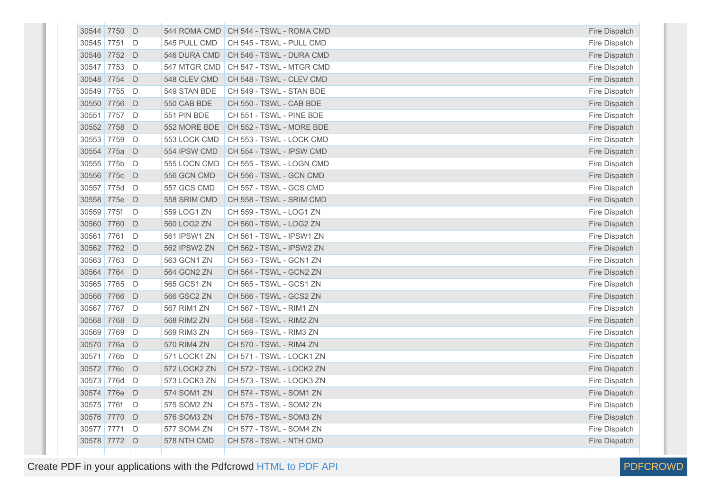| 30544 7750   |      | D              |              | 544 ROMA CMD CH 544 - TSWL - ROMA CMD   | Fire Dispatch |
|--------------|------|----------------|--------------|-----------------------------------------|---------------|
| 30545 7751   |      | $\mathsf{D}$   | 545 PULL CMD | CH 545 - TSWL - PULL CMD                | Fire Dispatch |
| 30546 7752 D |      |                | 546 DURA CMD | CH 546 - TSWL - DURA CMD                | Fire Dispatch |
| 30547 7753   |      | D              |              | 547 MTGR CMD   CH 547 - TSWL - MTGR CMD | Fire Dispatch |
| 30548 7754   |      | $\Box$         | 548 CLEV CMD | CH 548 - TSWL - CLEV CMD                | Fire Dispatch |
| 30549 7755   |      | D              | 549 STAN BDE | CH 549 - TSWL - STAN BDE                | Fire Dispatch |
| 30550        | 7756 | D              | 550 CAB BDE  | CH 550 - TSWL - CAB BDE                 | Fire Dispatch |
| 30551 7757   |      | D              | 551 PIN BDE  | CH 551 - TSWL - PINE BDE                | Fire Dispatch |
| 30552 7758   |      | D              | 552 MORE BDE | CH 552 - TSWL - MORE BDE                | Fire Dispatch |
| 30553 7759   |      | D              | 553 LOCK CMD | CH 553 - TSWL - LOCK CMD                | Fire Dispatch |
| 30554 775a   |      | D              | 554 IPSW CMD | CH 554 - TSWL - IPSW CMD                | Fire Dispatch |
| 30555 775b   |      | D              | 555 LOCN CMD | CH 555 - TSWL - LOGN CMD                | Fire Dispatch |
| 30556 775c   |      | D              | 556 GCN CMD  | CH 556 - TSWL - GCN CMD                 | Fire Dispatch |
| 30557 775d   |      | $\overline{D}$ | 557 GCS CMD  | CH 557 - TSWL - GCS CMD                 | Fire Dispatch |
| 30558 775e D |      |                | 558 SRIM CMD | CH 558 - TSWL - SRIM CMD                | Fire Dispatch |
| 30559 775f   |      | D              | 559 LOG1 ZN  | CH 559 - TSWL - LOG1 ZN                 | Fire Dispatch |
| 30560 7760   |      | D              | 560 LOG2 ZN  | CH 560 - TSWL - LOG2 ZN                 | Fire Dispatch |
| 30561 7761   |      | D              | 561 IPSW1 ZN | CH 561 - TSWL - IPSW1 ZN                | Fire Dispatch |
| 30562 7762   |      | $\overline{D}$ | 562 IPSW2 ZN | CH 562 - TSWL - IPSW2 ZN                | Fire Dispatch |
| 30563 7763   |      | D              | 563 GCN1 ZN  | CH 563 - TSWL - GCN1 ZN                 | Fire Dispatch |
| 30564 7764   |      | D              | 564 GCN2 ZN  | CH 564 - TSWL - GCN2 ZN                 | Fire Dispatch |
| 30565 7765   |      | D              | 565 GCS1 ZN  | CH 565 - TSWL - GCS1 ZN                 | Fire Dispatch |
| 30566 7766   |      | D              | 566 GSC2 ZN  | CH 566 - TSWL - GCS2 ZN                 | Fire Dispatch |
| 30567 7767   |      | D              | 567 RIM1 ZN  | CH 567 - TSWL - RIM1 ZN                 | Fire Dispatch |
| 30568 7768   |      | $\mathsf{D}$   | 568 RIM2 ZN  | CH 568 - TSWL - RIM2 ZN                 | Fire Dispatch |
| 30569 7769   |      | D              | 569 RIM3 ZN  | CH 569 - TSWL - RIM3 ZN                 | Fire Dispatch |
| 30570 776a D |      |                | 570 RIM4 ZN  | CH 570 - TSWL - RIM4 ZN                 | Fire Dispatch |
| 30571        | 776b | D              | 571 LOCK1 ZN | CH 571 - TSWL - LOCK1 ZN                | Fire Dispatch |
| 30572 776c   |      | $\Box$         | 572 LOCK2 ZN | CH 572 - TSWL - LOCK2 ZN                | Fire Dispatch |
| 30573 776d   |      | D              | 573 LOCK3 ZN | CH 573 - TSWL - LOCK3 ZN                | Fire Dispatch |
| 30574 776e   |      | D              | 574 SOM1 ZN  | CH 574 - TSWL - SOM1 ZN                 | Fire Dispatch |
| 30575 776f   |      | D              | 575 SOM2 ZN  | CH 575 - TSWL - SOM2 ZN                 | Fire Dispatch |
| 30576 7770   |      | D              | 576 SOM3 ZN  | CH 576 - TSWL - SOM3 ZN                 | Fire Dispatch |
| 30577 7771   |      | D              | 577 SOM4 ZN  | CH 577 - TSWL - SOM4 ZN                 | Fire Dispatch |
| 30578 7772   |      | $\Box$         | 578 NTH CMD  | CH 578 - TSWL - NTH CMD                 | Fire Dispatch |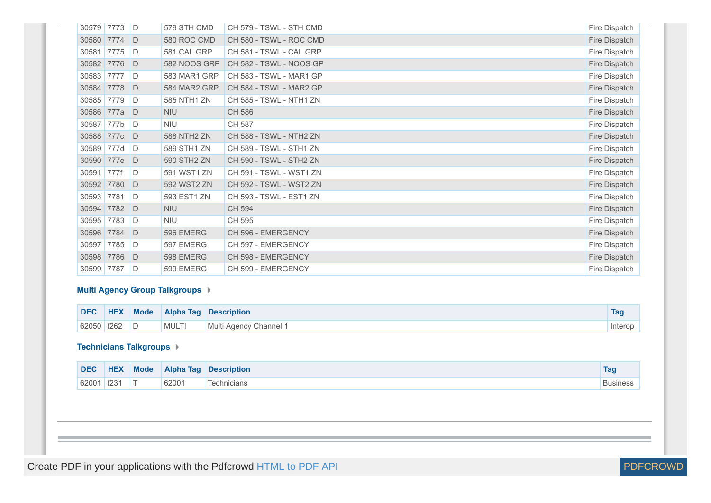|            | 30579 7773 D |        | 579 STH CMD  | CH 579 - TSWL - STH CMD | Fire Dispatch |
|------------|--------------|--------|--------------|-------------------------|---------------|
| 30580 7774 |              | D      | 580 ROC CMD  | CH 580 - TSWL - ROC CMD | Fire Dispatch |
|            | 30581 7775   | D      | 581 CAL GRP  | CH 581 - TSWL - CAL GRP | Fire Dispatch |
| 30582 7776 |              | D      | 582 NOOS GRP | CH 582 - TSWL - NOOS GP | Fire Dispatch |
| 30583 7777 |              | D      | 583 MAR1 GRP | CH 583 - TSWL - MAR1 GP | Fire Dispatch |
| 30584 7778 |              | D      | 584 MAR2 GRP | CH 584 - TSWL - MAR2 GP | Fire Dispatch |
| 30585 7779 |              | D      | 585 NTH1 ZN  | CH 585 - TSWL - NTH1 ZN | Fire Dispatch |
|            | 30586 777a   | D      | <b>NIU</b>   | CH 586                  | Fire Dispatch |
| 30587 777b |              | D      | <b>NIU</b>   | <b>CH 587</b>           | Fire Dispatch |
|            | 30588 777c   | $\Box$ | 588 NTH2 ZN  | CH 588 - TSWL - NTH2 ZN | Fire Dispatch |
| 30589 777d |              | D      | 589 STH1 ZN  | CH 589 - TSWL - STH1 ZN | Fire Dispatch |
| 30590 777e |              | D      | 590 STH2 ZN  | CH 590 - TSWL - STH2 ZN | Fire Dispatch |
| 30591 777f |              | D      | 591 WST1 ZN  | CH 591 - TSWL - WST1 ZN | Fire Dispatch |
| 30592 7780 |              | D      | 592 WST2 ZN  | CH 592 - TSWL - WST2 ZN | Fire Dispatch |
| 30593 7781 |              | D      | 593 EST1 ZN  | CH 593 - TSWL - EST1 ZN | Fire Dispatch |
| 30594 7782 |              | D      | <b>NIU</b>   | <b>CH 594</b>           | Fire Dispatch |
| 30595 7783 |              | D      | <b>NIU</b>   | CH 595                  | Fire Dispatch |
| 30596      | 7784         | D      | 596 EMERG    | CH 596 - EMERGENCY      | Fire Dispatch |
| 30597      | 7785         | D      | 597 EMERG    | CH 597 - EMERGENCY      | Fire Dispatch |
| 30598      | 7786         | D      | 598 EMERG    | CH 598 - EMERGENCY      | Fire Dispatch |
| 30599 7787 |              | D      | 599 EMERG    | CH 599 - EMERGENCY      | Fire Dispatch |
|            |              |        |              |                         |               |

# **Multi Agency Group Talkgroups**

| <b>DEC</b> | <b>HEX</b> | <b>Mode</b> |             | <b>Alpha Tag Description</b> | Tag     |
|------------|------------|-------------|-------------|------------------------------|---------|
| 62050      | f262       |             | <b>MULT</b> | Multi Agency Channel         | Interop |

# **Technicians Talkgroups**

| <b>DEC</b> | <b>HEX</b> | <b>Mode</b>              | <b>Alpha Tao</b> | <b>Description</b> | Tac |
|------------|------------|--------------------------|------------------|--------------------|-----|
| 6200       | 500<br>123 | $\overline{\phantom{a}}$ | 62001            | nician:            |     |